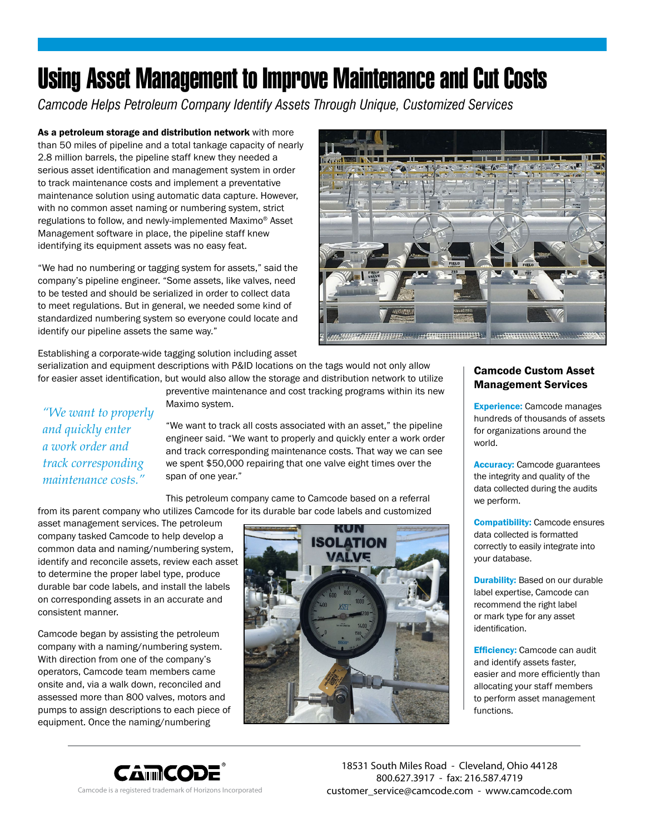## Using Asset Management to Improve Maintenance and Cut Costs

*Camcode Helps Petroleum Company Identify Assets Through Unique, Customized Services*

As a petroleum storage and distribution network with more than 50 miles of pipeline and a total tankage capacity of nearly 2.8 million barrels, the pipeline staff knew they needed a serious asset identification and management system in order to track maintenance costs and implement a preventative maintenance solution using automatic data capture. However, with no common asset naming or numbering system, strict regulations to follow, and newly-implemented Maximo® Asset Management software in place, the pipeline staff knew identifying its equipment assets was no easy feat.

"We had no numbering or tagging system for assets," said the company's pipeline engineer. "Some assets, like valves, need to be tested and should be serialized in order to collect data to meet regulations. But in general, we needed some kind of standardized numbering system so everyone could locate and identify our pipeline assets the same way."

Establishing a corporate-wide tagging solution including asset

serialization and equipment descriptions with P&ID locations on the tags would not only allow for easier asset identification, but would also allow the storage and distribution network to utilize

preventive maintenance and cost tracking programs within its new Maximo system.

*"We want to properly and quickly enter a work order and track corresponding maintenance costs."* 

"We want to track all costs associated with an asset," the pipeline engineer said. "We want to properly and quickly enter a work order and track corresponding maintenance costs. That way we can see we spent \$50,000 repairing that one valve eight times over the span of one year."

This petroleum company came to Camcode based on a referral from its parent company who utilizes Camcode for its durable bar code labels and customized

asset management services. The petroleum company tasked Camcode to help develop a common data and naming/numbering system, identify and reconcile assets, review each asset to determine the proper label type, produce durable bar code labels, and install the labels on corresponding assets in an accurate and consistent manner.

Camcode began by assisting the petroleum company with a naming/numbering system. With direction from one of the company's operators, Camcode team members came onsite and, via a walk down, reconciled and assessed more than 800 valves, motors and pumps to assign descriptions to each piece of equipment. Once the naming/numbering



## Camcode Custom Asset Management Services

Experience: Camcode manages hundreds of thousands of assets for organizations around the world.

Accuracy: Camcode guarantees the integrity and quality of the data collected during the audits we perform.

**Compatibility:** Camcode ensures data collected is formatted correctly to easily integrate into your database.

**Durability:** Based on our durable label expertise, Camcode can recommend the right label or mark type for any asset identification.

**Efficiency: Camcode can audit** and identify assets faster, easier and more efficiently than allocating your staff members to perform asset management functions.